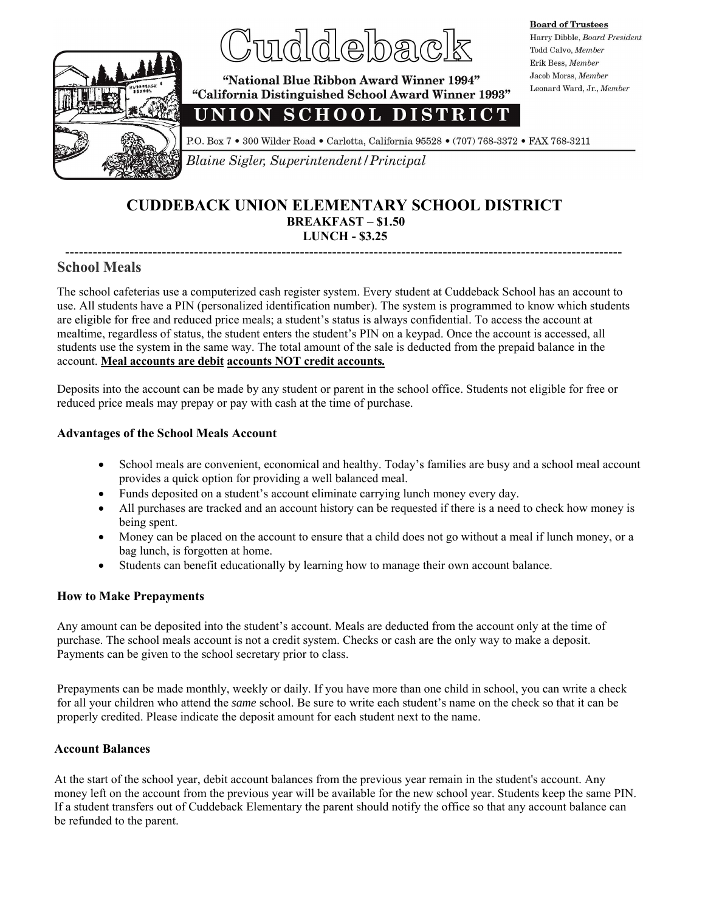

# dlejbaœ

**Board of Trustees** Harry Dibble, Board President Todd Calvo, Member Erik Bess, Member Jacob Morss, Member Leonard Ward, Jr., Member

"National Blue Ribbon Award Winner 1994" "California Distinguished School Award Winner 1993"

## UNION SCHOOL DISTRICT

P.O. Box 7 . 300 Wilder Road . Carlotta, California 95528 . (707) 768-3372 . FAX 768-3211

**2021** Blaine Sigler, Superintendent / Principal

#### **CUDDEBACK UNION ELEMENTARY SCHOOL DISTRICT BREAKFAST – \$1.50 LUNCH - \$3.25**

#### ------------------------------------------------------------------------------------------------------------------------- **School Meals**

The school cafeterias use a computerized cash register system. Every student at Cuddeback School has an account to use. All students have a PIN (personalized identification number). The system is programmed to know which students are eligible for free and reduced price meals; a student's status is always confidential. To access the account at mealtime, regardless of status, the student enters the student's PIN on a keypad. Once the account is accessed, all students use the system in the same way. The total amount of the sale is deducted from the prepaid balance in the account. **Meal accounts are debit accounts NOT credit accounts***.*

Deposits into the account can be made by any student or parent in the school office. Students not eligible for free or reduced price meals may prepay or pay with cash at the time of purchase.

#### **Advantages of the School Meals Account**

- School meals are convenient, economical and healthy. Today's families are busy and a school meal account provides a quick option for providing a well balanced meal.
- Funds deposited on a student's account eliminate carrying lunch money every day.
- All purchases are tracked and an account history can be requested if there is a need to check how money is being spent.
- Money can be placed on the account to ensure that a child does not go without a meal if lunch money, or a bag lunch, is forgotten at home.
- Students can benefit educationally by learning how to manage their own account balance.

#### **How to Make Prepayments**

Any amount can be deposited into the student's account. Meals are deducted from the account only at the time of purchase. The school meals account is not a credit system. Checks or cash are the only way to make a deposit. Payments can be given to the school secretary prior to class.

Prepayments can be made monthly, weekly or daily. If you have more than one child in school, you can write a check for all your children who attend the *same* school. Be sure to write each student's name on the check so that it can be properly credited. Please indicate the deposit amount for each student next to the name.

#### **Account Balances**

At the start of the school year, debit account balances from the previous year remain in the student's account. Any money left on the account from the previous year will be available for the new school year. Students keep the same PIN. If a student transfers out of Cuddeback Elementary the parent should notify the office so that any account balance can be refunded to the parent.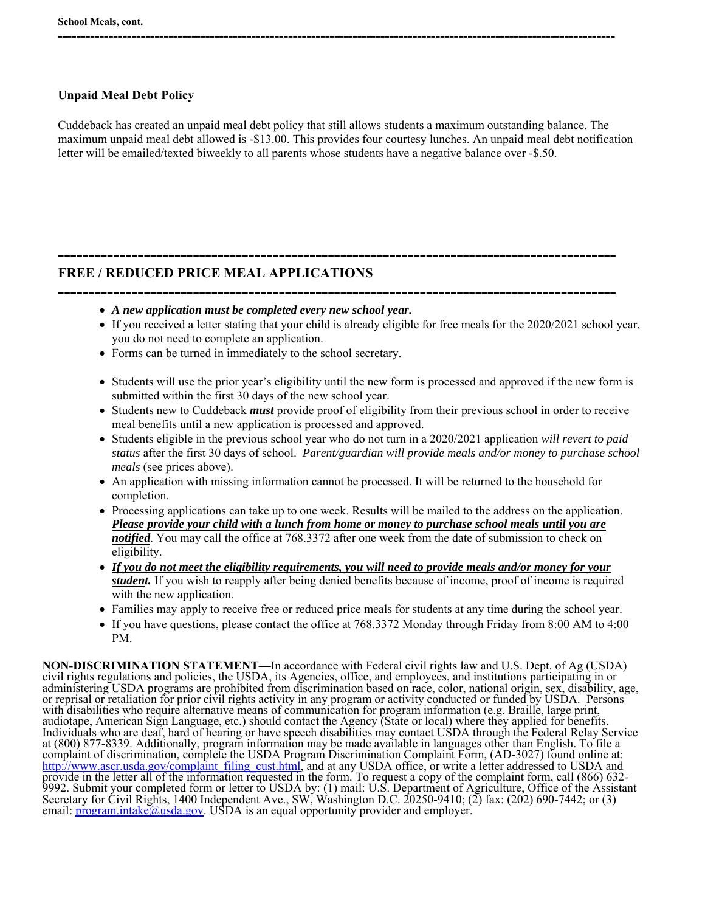#### **Unpaid Meal Debt Policy**

Cuddeback has created an unpaid meal debt policy that still allows students a maximum outstanding balance. The maximum unpaid meal debt allowed is -\$13.00. This provides four courtesy lunches. An unpaid meal debt notification letter will be emailed/texted biweekly to all parents whose students have a negative balance over -\$.50.

**-------------------------------------------------------------------------------------------** 

**-------------------------------------------------------------------------------------------------------------------------** 

#### **FREE / REDUCED PRICE MEAL APPLICATIONS**

- **-------------------------------------------------------------------------------------------**  *A new application must be completed every new school year.*
	- If you received a letter stating that your child is already eligible for free meals for the 2020/2021 school year, you do not need to complete an application.
	- Forms can be turned in immediately to the school secretary.
	- Students will use the prior year's eligibility until the new form is processed and approved if the new form is submitted within the first 30 days of the new school year.
	- Students new to Cuddeback *must* provide proof of eligibility from their previous school in order to receive meal benefits until a new application is processed and approved.
	- Students eligible in the previous school year who do not turn in a 2020/2021 application *will revert to paid status* after the first 30 days of school. *Parent/guardian will provide meals and/or money to purchase school meals* (see prices above).
	- An application with missing information cannot be processed. It will be returned to the household for completion.
	- Processing applications can take up to one week. Results will be mailed to the address on the application. *Please provide your child with a lunch from home or money to purchase school meals until you are notified*. You may call the office at 768.3372 after one week from the date of submission to check on eligibility.
	- *If you do not meet the eligibility requirements, you will need to provide meals and/or money for your student.* If you wish to reapply after being denied benefits because of income, proof of income is required with the new application.
	- Families may apply to receive free or reduced price meals for students at any time during the school year.
	- If you have questions, please contact the office at 768.3372 Monday through Friday from 8:00 AM to 4:00 PM.

**NON-DISCRIMINATION STATEMENT—**In accordance with Federal civil rights law and U.S. Dept. of Ag (USDA) civil rights regulations and policies, the USDA, its Agencies, office, and employees, and institutions participating in or administering USDA programs are prohibited from discrimination based on race, color, national origin, sex, disability, age, or reprisal or retaliation for prior civil rights activity in any program or activity conducted or funded by USDA. Persons with disabilities who require alternative means of communication for program information (e.g. Braille, large print, audiotape, American Sign Language, etc.) should contact the Agency (State or local) where they applied for benefits. Individuals who are deaf, hard of hearing or have speech disabilities may contact USDA through the Federal Relay Service at (800) 877-8339. Additionally, program information may be made available in languages other than English. To file a complaint of discrimination, complete the USDA Program Discrimination Complaint Form, (AD-3027) found online at: http://www.ascr.usda.gov/complaint\_filing\_cust.html, and at any USDA office, or write a letter addressed to USDA and provide in the letter all of the information requested in the form. To request a copy of the complaint form, call (866) 632- 9992. Submit your completed form or letter to USDA by: (1) mail: U.S. Department of Agriculture, Office of the Assistant Secretary for Civil Rights, 1400 Independent Ave., SW, Washington D.C. 20250-9410; (2) fax: (202) 690-7442; or (3) email: **program.intake@usda.gov**. USDA is an equal opportunity provider and employer.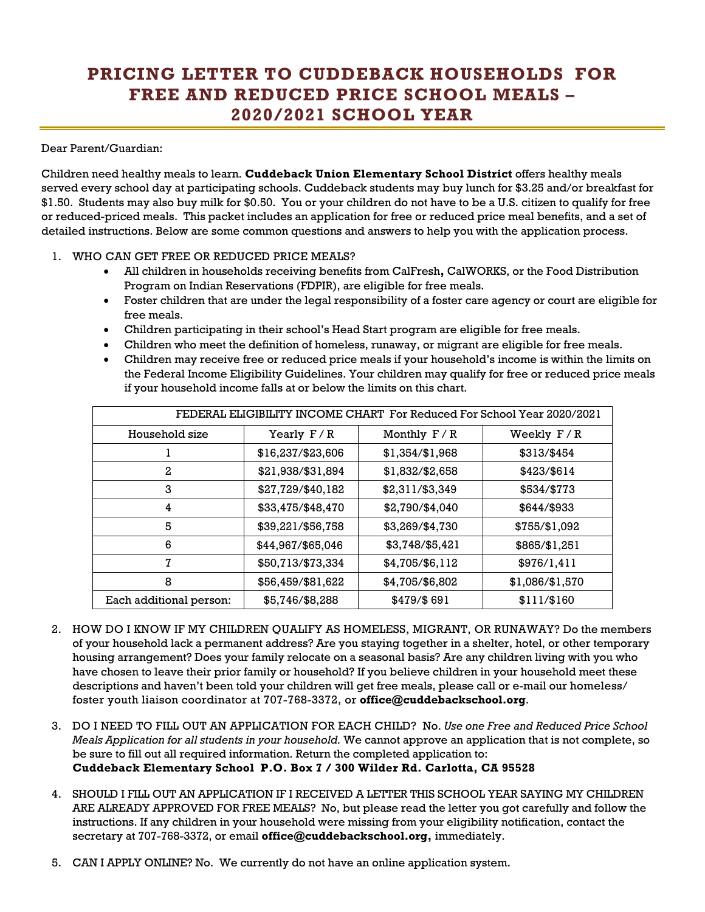## **PRICING LETTER TO CUDDEBACK HOUSEHOLDS FOR FREE AND REDUCED PRICE SCHOOL MEALS – 2020/2021 SCHOOL YEAR**

#### Dear Parent/Guardian:

Children need healthy meals to learn. **Cuddeback Union Elementary School District** offers healthy meals served every school day at participating schools. Cuddeback students may buy lunch for \$3.25 and/or breakfast for \$1.50. Students may also buy milk for \$0.50. You or your children do not have to be a U.S. citizen to qualify for free or reduced-priced meals. This packet includes an application for free or reduced price meal benefits, and a set of detailed instructions. Below are some common questions and answers to help you with the application process.

#### 1. WHO CAN GET FREE OR REDUCED PRICE MEALS?

- All children in households receiving benefits from CalFresh**,** CalWORKS, or the Food Distribution Program on Indian Reservations (FDPIR), are eligible for free meals.
- Foster children that are under the legal responsibility of a foster care agency or court are eligible for free meals.
- Children participating in their school's Head Start program are eligible for free meals.
- Children who meet the definition of homeless, runaway, or migrant are eligible for free meals.
- Children may receive free or reduced price meals if your household's income is within the limits on the Federal Income Eligibility Guidelines. Your children may qualify for free or reduced price meals if your household income falls at or below the limits on this chart.

| FEDERAL ELIGIBILITY INCOME CHART For Reduced For School Year 2020/2021 |                   |                 |                 |  |  |  |
|------------------------------------------------------------------------|-------------------|-----------------|-----------------|--|--|--|
| Household size                                                         | Yearly $F/R$      | Monthly $F/R$   | Weekly $F/R$    |  |  |  |
|                                                                        | \$16,237/\$23,606 | \$1,354/\$1,968 | \$313/\$454     |  |  |  |
| 2                                                                      | \$21,938/\$31,894 | \$1,832/\$2,658 | \$423/\$614     |  |  |  |
| 3                                                                      | \$27,729/\$40,182 | \$2,311/\$3,349 | \$534/\$773     |  |  |  |
| 4                                                                      | \$33,475/\$48,470 | \$2,790/\$4,040 | \$644/\$933     |  |  |  |
| 5                                                                      | \$39,221/\$56,758 | \$3,269/\$4,730 | \$755/\$1,092   |  |  |  |
| 6                                                                      | \$44,967/\$65,046 | \$3,748/\$5,421 | \$865/\$1,251   |  |  |  |
| 7                                                                      | \$50,713/\$73,334 | \$4,705/\$6,112 | \$976/1,411     |  |  |  |
| 8                                                                      | \$56,459/\$81,622 | \$4,705/\$6,802 | \$1,086/\$1,570 |  |  |  |
| Each additional person:                                                | \$5,746/\$8,288   | \$479/\$691     | \$111/\$160     |  |  |  |

- 2. HOW DO I KNOW IF MY CHILDREN QUALIFY AS HOMELESS, MIGRANT, OR RUNAWAY? Do the members of your household lack a permanent address? Are you staying together in a shelter, hotel, or other temporary housing arrangement? Does your family relocate on a seasonal basis? Are any children living with you who have chosen to leave their prior family or household? If you believe children in your household meet these descriptions and haven't been told your children will get free meals, please call or e-mail our homeless/ foster youth liaison coordinator at 707-768-3372, or **office@cuddebackschool.org**.
- 3. DO I NEED TO FILL OUT AN APPLICATION FOR EACH CHILD? No. *Use one Free and Reduced Price School Meals Application for all students in your household.* We cannot approve an application that is not complete, so be sure to fill out all required information. Return the completed application to: **Cuddeback Elementary School P.O. Box 7 / 300 Wilder Rd. Carlotta, CA 95528**
- 4. SHOULD I FILL OUT AN APPLICATION IF I RECEIVED A LETTER THIS SCHOOL YEAR SAYING MY CHILDREN ARE ALREADY APPROVED FOR FREE MEALS? No, but please read the letter you got carefully and follow the instructions. If any children in your household were missing from your eligibility notification, contact the secretary at 707-768-3372, or email **office@cuddebackschool.org,** immediately.
- 5. CAN I APPLY ONLINE? No. We currently do not have an online application system.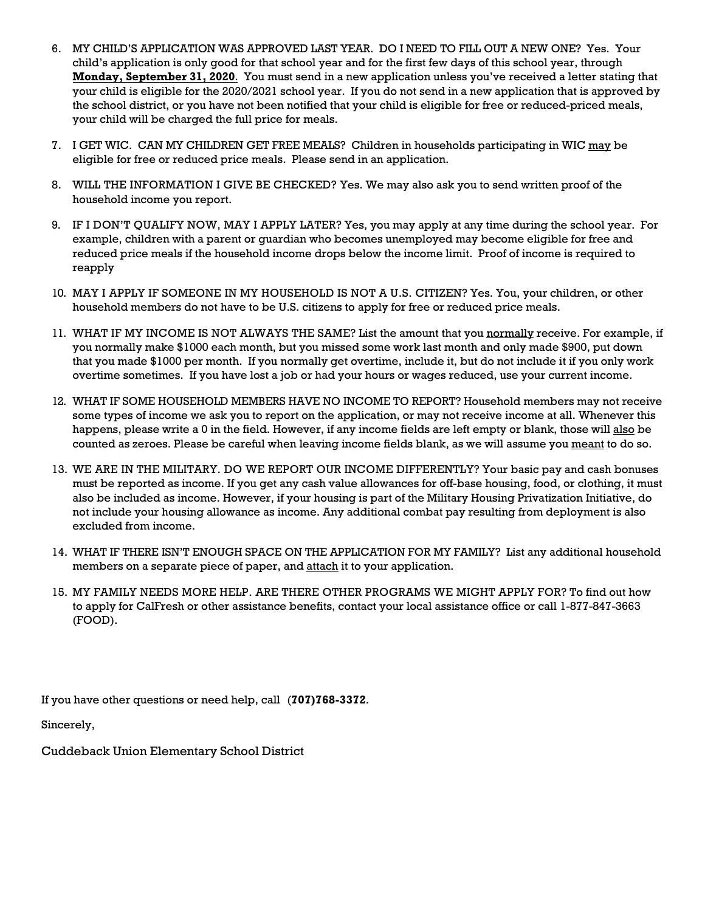- 6. MY CHILD'S APPLICATION WAS APPROVED LAST YEAR. DO I NEED TO FILL OUT A NEW ONE? Yes. Your child's application is only good for that school year and for the first few days of this school year, through **Monday, September 31, 2020**. You must send in a new application unless you've received a letter stating that your child is eligible for the 2020/2021 school year. If you do not send in a new application that is approved by the school district, or you have not been notified that your child is eligible for free or reduced-priced meals, your child will be charged the full price for meals.
- 7. I GET WIC. CAN MY CHILDREN GET FREE MEALS? Children in households participating in WIC may be eligible for free or reduced price meals. Please send in an application.
- 8. WILL THE INFORMATION I GIVE BE CHECKED? Yes. We may also ask you to send written proof of the household income you report.
- 9. IF I DON'T QUALIFY NOW, MAY I APPLY LATER? Yes, you may apply at any time during the school year. For example, children with a parent or guardian who becomes unemployed may become eligible for free and reduced price meals if the household income drops below the income limit. Proof of income is required to reapply
- 10. MAY I APPLY IF SOMEONE IN MY HOUSEHOLD IS NOT A U.S. CITIZEN? Yes. You, your children, or other household members do not have to be U.S. citizens to apply for free or reduced price meals.
- 11. WHAT IF MY INCOME IS NOT ALWAYS THE SAME? List the amount that you normally receive. For example, if you normally make \$1000 each month, but you missed some work last month and only made \$900, put down that you made \$1000 per month. If you normally get overtime, include it, but do not include it if you only work overtime sometimes. If you have lost a job or had your hours or wages reduced, use your current income.
- 12. WHAT IF SOME HOUSEHOLD MEMBERS HAVE NO INCOME TO REPORT? Household members may not receive some types of income we ask you to report on the application, or may not receive income at all. Whenever this happens, please write a 0 in the field. However, if any income fields are left empty or blank, those will also be counted as zeroes. Please be careful when leaving income fields blank, as we will assume you meant to do so.
- 13. WE ARE IN THE MILITARY. DO WE REPORT OUR INCOME DIFFERENTLY? Your basic pay and cash bonuses must be reported as income. If you get any cash value allowances for off-base housing, food, or clothing, it must also be included as income. However, if your housing is part of the Military Housing Privatization Initiative, do not include your housing allowance as income. Any additional combat pay resulting from deployment is also excluded from income.
- 14. WHAT IF THERE ISN'T ENOUGH SPACE ON THE APPLICATION FOR MY FAMILY? List any additional household members on a separate piece of paper, and attach it to your application.
- 15. MY FAMILY NEEDS MORE HELP. ARE THERE OTHER PROGRAMS WE MIGHT APPLY FOR? To find out how to apply for CalFresh or other assistance benefits, contact your local assistance office or call 1-877-847-3663 (FOOD).

If you have other questions or need help, call (**707)768-3372***.* 

Sincerely,

Cuddeback Union Elementary School District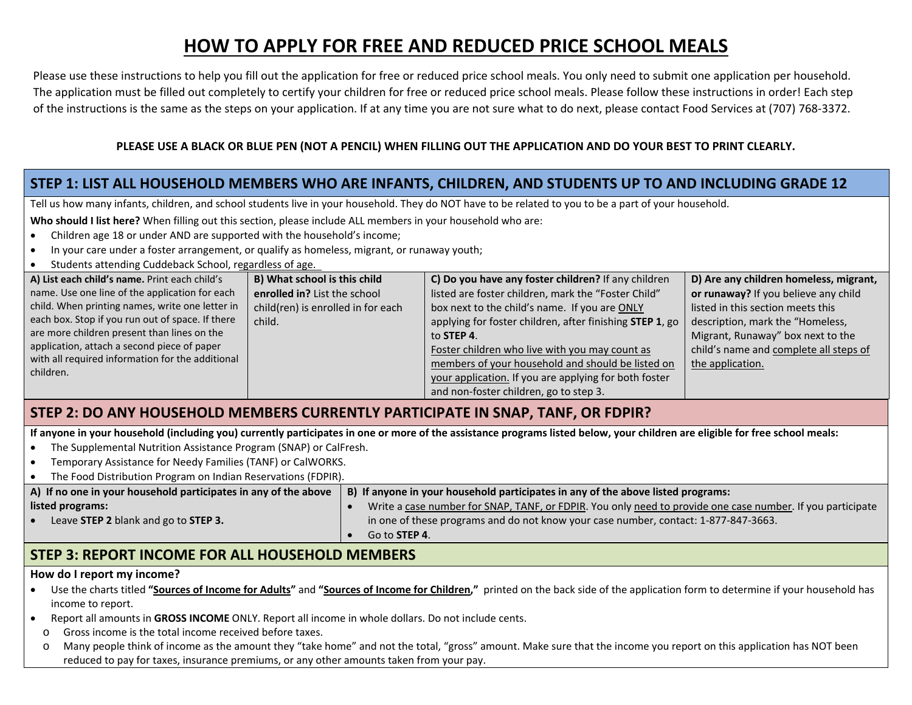## **HOW TO APPLY FOR FREE AND REDUCED PRICE SCHOOL MEALS**

Please use these instructions to help you fill out the application for free or reduced price school meals. You only need to submit one application per household.The application must be filled out completely to certify your children for free or reduced price school meals. Please follow these instructions in order! Each step of the instructions is the same as the steps on your application. If at any time you are not sure what to do next, please contact Food Services at (707) 768‐3372.

#### **PLEASE USE A BLACK OR BLUE PEN (NOT A PENCIL) WHEN FILLING OUT THE APPLICATION AND DO YOUR BEST TO PRINT CLEARLY.**

### **STEP 1: LIST ALL HOUSEHOLD MEMBERS WHO ARE INFANTS, CHILDREN, AND STUDENTS UP TO AND INCLUDING GRADE 12**

Tell us how many infants, children, and school students live in your household. They do NOT have to be related to you to be a part of your household.

**Who should I list here?** When filling out this section, please include ALL members in your household who are:

- . Children age 18 or under AND are supported with the household's income;
- $\bullet$ In your care under a foster arrangement, or qualify as homeless, migrant, or runaway youth;
- $\bullet$ Students attending Cuddeback School, regardless of age.

| A) List each child's name. Print each child's    | B) What school is this child       | C) Do you have any foster children? If any children      | D) Are any children homeless, migrant, |
|--------------------------------------------------|------------------------------------|----------------------------------------------------------|----------------------------------------|
| name. Use one line of the application for each   | enrolled in? List the school       | listed are foster children, mark the "Foster Child"      | or runaway? If you believe any child   |
| child. When printing names, write one letter in  | child(ren) is enrolled in for each | box next to the child's name. If you are ONLY            | listed in this section meets this      |
| each box. Stop if you run out of space. If there | child.                             | applying for foster children, after finishing STEP 1, go | description, mark the "Homeless,       |
| are more children present than lines on the      |                                    | to STEP 4.                                               | Migrant, Runaway" box next to the      |
| application, attach a second piece of paper      |                                    | Foster children who live with you may count as           | child's name and complete all steps of |
| with all required information for the additional |                                    | members of your household and should be listed on        | the application.                       |
| children.                                        |                                    | your application. If you are applying for both foster    |                                        |
|                                                  |                                    | and non-foster children, go to step 3.                   |                                        |

#### **STEP 2: DO ANY HOUSEHOLD MEMBERS CURRENTLY PARTICIPATE IN SNAP, TANF, OR FDPIR?**

**If anyone in your household (including you) currently participates in one or more of the assistance programs listed below, your children are eligible for free school meals:**

- $\bullet$ The Supplemental Nutrition Assistance Program (SNAP) or CalFresh.
- . Temporary Assistance for Needy Families (TANF) or CalWORKS.
- $\bullet$ The Food Distribution Program on Indian Reservations (FDPIR).

| A) If no one in your household participates in any of the above | B) If anyone in your household participates in any of the above listed programs:                           |
|-----------------------------------------------------------------|------------------------------------------------------------------------------------------------------------|
| listed programs:                                                | Write a case number for SNAP, TANF, or FDPIR. You only need to provide one case number. If you participate |
| Leave STEP 2 blank and go to STEP 3.                            | in one of these programs and do not know your case number, contact: 1-877-847-3663.                        |
|                                                                 | Go to <b>STEP 4.</b>                                                                                       |
|                                                                 |                                                                                                            |

#### **STEP 3: REPORT INCOME FOR ALL HOUSEHOLD MEMBERS**

#### **How do I report my income?**

- . Use the charts titled **"Sources of Income for Adults"** and **"Sources of Income for Children,"** printed on the back side of the application form to determine if your household has income to report.
- . Report all amounts in **GROSS INCOME** ONLY. Report all income in whole dollars. Do not include cents.
- oGross income is the total income received before taxes.
- oMany people think of income as the amount they "take home" and not the total, "gross" amount. Make sure that the income you report on this application has NOT been reduced to pay for taxes, insurance premiums, or any other amounts taken from your pay.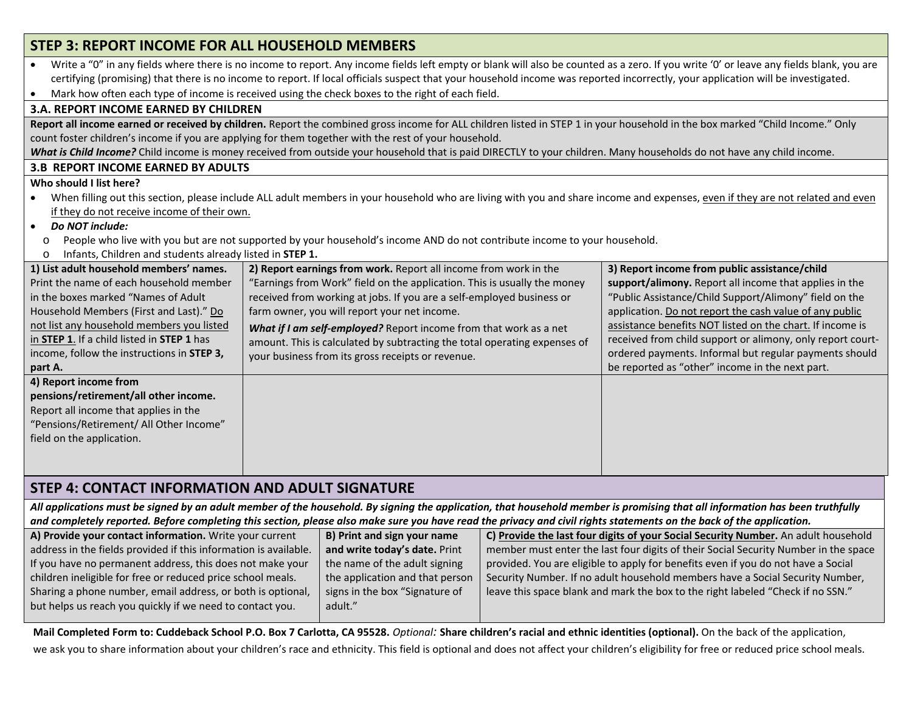| STEP 3: REPORT INCOME FOR ALL HOUSEHOLD MEMBERS                                                                                                                                                                                                                                                                                                                                                                                                                                              |                                                                                                                                                                                |                                                            |  |  |  |  |  |
|----------------------------------------------------------------------------------------------------------------------------------------------------------------------------------------------------------------------------------------------------------------------------------------------------------------------------------------------------------------------------------------------------------------------------------------------------------------------------------------------|--------------------------------------------------------------------------------------------------------------------------------------------------------------------------------|------------------------------------------------------------|--|--|--|--|--|
| Write a "0" in any fields where there is no income to report. Any income fields left empty or blank will also be counted as a zero. If you write '0' or leave any fields blank, you are<br>certifying (promising) that there is no income to report. If local officials suspect that your household income was reported incorrectly, your application will be investigated.<br>Mark how often each type of income is received using the check boxes to the right of each field.<br>$\bullet$ |                                                                                                                                                                                |                                                            |  |  |  |  |  |
| <b>3.A. REPORT INCOME EARNED BY CHILDREN</b>                                                                                                                                                                                                                                                                                                                                                                                                                                                 |                                                                                                                                                                                |                                                            |  |  |  |  |  |
|                                                                                                                                                                                                                                                                                                                                                                                                                                                                                              | Report all income earned or received by children. Report the combined gross income for ALL children listed in STEP 1 in your household in the box marked "Child Income." Only  |                                                            |  |  |  |  |  |
|                                                                                                                                                                                                                                                                                                                                                                                                                                                                                              | count foster children's income if you are applying for them together with the rest of your household.                                                                          |                                                            |  |  |  |  |  |
|                                                                                                                                                                                                                                                                                                                                                                                                                                                                                              | What is Child Income? Child income is money received from outside your household that is paid DIRECTLY to your children. Many households do not have any child income.         |                                                            |  |  |  |  |  |
| <b>3.B REPORT INCOME EARNED BY ADULTS</b>                                                                                                                                                                                                                                                                                                                                                                                                                                                    |                                                                                                                                                                                |                                                            |  |  |  |  |  |
| Who should I list here?                                                                                                                                                                                                                                                                                                                                                                                                                                                                      |                                                                                                                                                                                |                                                            |  |  |  |  |  |
| $\bullet$<br>if they do not receive income of their own.                                                                                                                                                                                                                                                                                                                                                                                                                                     | When filling out this section, please include ALL adult members in your household who are living with you and share income and expenses, even if they are not related and even |                                                            |  |  |  |  |  |
| Do NOT include:<br>$\bullet$                                                                                                                                                                                                                                                                                                                                                                                                                                                                 |                                                                                                                                                                                |                                                            |  |  |  |  |  |
| $\circ$                                                                                                                                                                                                                                                                                                                                                                                                                                                                                      | People who live with you but are not supported by your household's income AND do not contribute income to your household.                                                      |                                                            |  |  |  |  |  |
| Infants, Children and students already listed in STEP 1.<br>O                                                                                                                                                                                                                                                                                                                                                                                                                                |                                                                                                                                                                                |                                                            |  |  |  |  |  |
| 1) List adult household members' names.                                                                                                                                                                                                                                                                                                                                                                                                                                                      | 2) Report earnings from work. Report all income from work in the                                                                                                               | 3) Report income from public assistance/child              |  |  |  |  |  |
| Print the name of each household member                                                                                                                                                                                                                                                                                                                                                                                                                                                      | "Earnings from Work" field on the application. This is usually the money                                                                                                       | support/alimony. Report all income that applies in the     |  |  |  |  |  |
| in the boxes marked "Names of Adult                                                                                                                                                                                                                                                                                                                                                                                                                                                          | received from working at jobs. If you are a self-employed business or<br>farm owner, you will report your net income.                                                          | "Public Assistance/Child Support/Alimony" field on the     |  |  |  |  |  |
| Household Members (First and Last)." Do                                                                                                                                                                                                                                                                                                                                                                                                                                                      | application. Do not report the cash value of any public                                                                                                                        |                                                            |  |  |  |  |  |
| not list any household members you listed                                                                                                                                                                                                                                                                                                                                                                                                                                                    | assistance benefits NOT listed on the chart. If income is                                                                                                                      |                                                            |  |  |  |  |  |
| in STEP 1. If a child listed in STEP 1 has                                                                                                                                                                                                                                                                                                                                                                                                                                                   | amount. This is calculated by subtracting the total operating expenses of                                                                                                      | received from child support or alimony, only report court- |  |  |  |  |  |
| income, follow the instructions in STEP 3,                                                                                                                                                                                                                                                                                                                                                                                                                                                   | your business from its gross receipts or revenue.                                                                                                                              | ordered payments. Informal but regular payments should     |  |  |  |  |  |
| part A.                                                                                                                                                                                                                                                                                                                                                                                                                                                                                      |                                                                                                                                                                                | be reported as "other" income in the next part.            |  |  |  |  |  |
| 4) Report income from                                                                                                                                                                                                                                                                                                                                                                                                                                                                        |                                                                                                                                                                                |                                                            |  |  |  |  |  |
| pensions/retirement/all other income.                                                                                                                                                                                                                                                                                                                                                                                                                                                        |                                                                                                                                                                                |                                                            |  |  |  |  |  |
| Report all income that applies in the<br>"Pensions/Retirement/ All Other Income"                                                                                                                                                                                                                                                                                                                                                                                                             |                                                                                                                                                                                |                                                            |  |  |  |  |  |
| field on the application.                                                                                                                                                                                                                                                                                                                                                                                                                                                                    |                                                                                                                                                                                |                                                            |  |  |  |  |  |
|                                                                                                                                                                                                                                                                                                                                                                                                                                                                                              |                                                                                                                                                                                |                                                            |  |  |  |  |  |
|                                                                                                                                                                                                                                                                                                                                                                                                                                                                                              |                                                                                                                                                                                |                                                            |  |  |  |  |  |
| <b>STEP 4: CONTACT INFORMATION AND ADULT SIGNATURE</b>                                                                                                                                                                                                                                                                                                                                                                                                                                       |                                                                                                                                                                                |                                                            |  |  |  |  |  |
|                                                                                                                                                                                                                                                                                                                                                                                                                                                                                              | All applications must be signed by an adult member of the household. By signing the application, that household member is promising that all information has been truthfully   |                                                            |  |  |  |  |  |
| and completely reported. Before completing this section, please also make sure you have read the privacy and civil rights statements on the back of the application.                                                                                                                                                                                                                                                                                                                         |                                                                                                                                                                                |                                                            |  |  |  |  |  |
|                                                                                                                                                                                                                                                                                                                                                                                                                                                                                              | A) Provide your contact information. Write your current<br>B) Print and sign your name<br>C) Provide the last four digits of your Social Security Number. An adult household   |                                                            |  |  |  |  |  |
|                                                                                                                                                                                                                                                                                                                                                                                                                                                                                              |                                                                                                                                                                                |                                                            |  |  |  |  |  |

|                                 | C) Provide the last four digits of your Social Security Number. An adult household  |
|---------------------------------|-------------------------------------------------------------------------------------|
| and write today's date. Print   | member must enter the last four digits of their Social Security Number in the space |
| the name of the adult signing   | provided. You are eligible to apply for benefits even if you do not have a Social   |
| the application and that person | Security Number. If no adult household members have a Social Security Number,       |
| signs in the box "Signature of  | leave this space blank and mark the box to the right labeled "Check if no SSN."     |
| adult."                         |                                                                                     |
|                                 | B) Print and sign your name                                                         |

**Mail Completed Form to: Cuddeback School P.O. Box 7 Carlotta, CA 95528.** *Optional:* **Share children's racial and ethnic identities (optional).** On the back of the application, we ask you to share information about your children's race and ethnicity. This field is optional and does not affect your children's eligibility for free or reduced price school meals.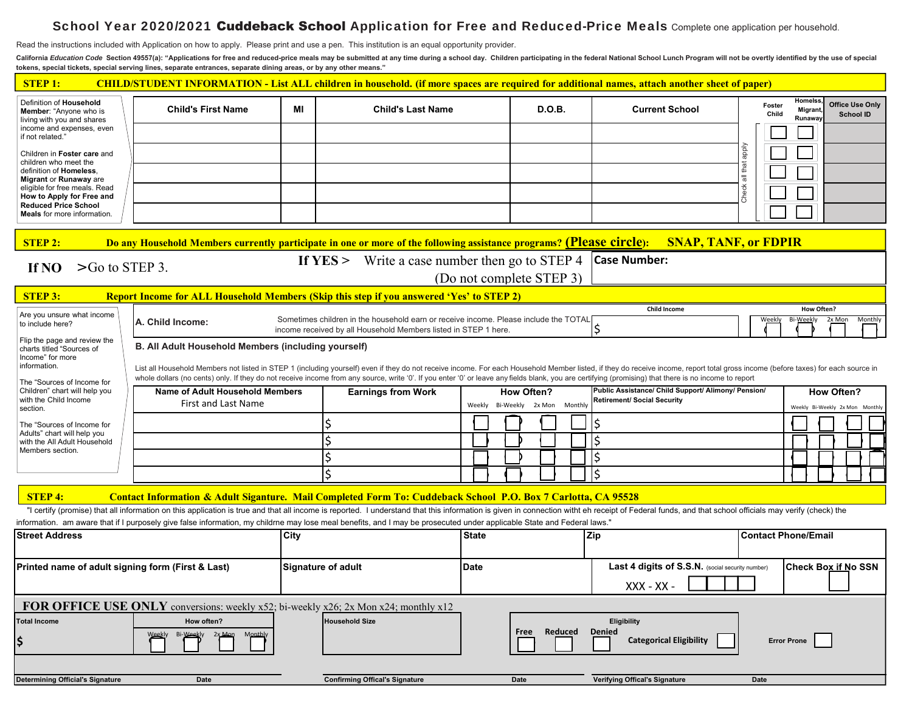## ${\bf School \, Year\ 2020/2021\ Cuddeback\ School \, Application\ for\ Free\ and\ Reduced-Price\ Meals\ Compute\ one\ application\ per\ house\ hold.}$

Read the instructions included with Application on how to apply. Please print and use a pen. This institution is an equal opportunity provider.

California Education Code Section 49557(a): "Applications for free and reduced-price meals may be submitted at any time during a school day. Children participating in the federal National School Lunch Program will not be o **tokens, special tickets, special serving lines, separate entrances, separate dining areas, or by any other means."** 

| <b>STEP1:</b><br>CHILD/STUDENT INFORMATION - List ALL children in household. (if more spaces are required for additional names, attach another sheet of paper) |                                                                                     |                                                                                                                                                                                                                                                                                                                                                                        |                                                                                                                                                                                                                                |              |                          |  |                                                  |                 |                                     |        |                                            |
|----------------------------------------------------------------------------------------------------------------------------------------------------------------|-------------------------------------------------------------------------------------|------------------------------------------------------------------------------------------------------------------------------------------------------------------------------------------------------------------------------------------------------------------------------------------------------------------------------------------------------------------------|--------------------------------------------------------------------------------------------------------------------------------------------------------------------------------------------------------------------------------|--------------|--------------------------|--|--------------------------------------------------|-----------------|-------------------------------------|--------|--------------------------------------------|
| Definition of Household<br><b>Member:</b> "Anyone who is<br>living with you and shares                                                                         | <b>Child's First Name</b>                                                           | МI                                                                                                                                                                                                                                                                                                                                                                     | <b>Child's Last Name</b>                                                                                                                                                                                                       |              | <b>D.O.B.</b>            |  | <b>Current School</b>                            | Foster<br>Child | Homelss<br><b>Migrant</b><br>Runawa |        | <b>Office Use Only</b><br><b>School ID</b> |
| income and expenses, even<br>if not related."                                                                                                                  |                                                                                     |                                                                                                                                                                                                                                                                                                                                                                        |                                                                                                                                                                                                                                |              |                          |  |                                                  |                 |                                     |        |                                            |
| Children in Foster care and<br>children who meet the                                                                                                           |                                                                                     |                                                                                                                                                                                                                                                                                                                                                                        |                                                                                                                                                                                                                                |              |                          |  |                                                  | Vidde           |                                     |        |                                            |
| definition of Homeless.<br><b>Migrant or Runaway are</b>                                                                                                       |                                                                                     |                                                                                                                                                                                                                                                                                                                                                                        |                                                                                                                                                                                                                                |              |                          |  |                                                  | all that        |                                     |        |                                            |
| eligible for free meals. Read<br>How to Apply for Free and                                                                                                     |                                                                                     |                                                                                                                                                                                                                                                                                                                                                                        |                                                                                                                                                                                                                                |              |                          |  |                                                  | <b>Check</b>    |                                     |        |                                            |
| <b>Reduced Price School</b><br><b>Meals</b> for more information.                                                                                              |                                                                                     |                                                                                                                                                                                                                                                                                                                                                                        |                                                                                                                                                                                                                                |              |                          |  |                                                  |                 |                                     |        |                                            |
| <b>STEP 2:</b>                                                                                                                                                 |                                                                                     |                                                                                                                                                                                                                                                                                                                                                                        | Do any Household Members currently participate in one or more of the following assistance programs? (Please circle): SNAP, TANF, or FDPIR                                                                                      |              |                          |  |                                                  |                 |                                     |        |                                            |
| $>$ Go to STEP 3.<br>If NO                                                                                                                                     |                                                                                     |                                                                                                                                                                                                                                                                                                                                                                        | If $YES >$ Write a case number then go to STEP 4                                                                                                                                                                               |              |                          |  | <b>Case Number:</b>                              |                 |                                     |        |                                            |
|                                                                                                                                                                |                                                                                     |                                                                                                                                                                                                                                                                                                                                                                        |                                                                                                                                                                                                                                |              | (Do not complete STEP 3) |  |                                                  |                 |                                     |        |                                            |
| <b>STEP 3:</b>                                                                                                                                                 |                                                                                     |                                                                                                                                                                                                                                                                                                                                                                        | Report Income for ALL Household Members (Skip this step if you answered 'Yes' to STEP 2)                                                                                                                                       |              |                          |  |                                                  |                 |                                     |        |                                            |
| Are you unsure what income                                                                                                                                     | A. Child Income:                                                                    |                                                                                                                                                                                                                                                                                                                                                                        | Sometimes children in the household earn or receive income. Please include the TOTAL                                                                                                                                           |              |                          |  | <b>Child Income</b>                              | Weekly          | How Often?<br>Bi-Weekly             | 2x Mon | Monthly                                    |
| to include here?                                                                                                                                               |                                                                                     |                                                                                                                                                                                                                                                                                                                                                                        | income received by all Household Members listed in STEP 1 here.                                                                                                                                                                |              |                          |  |                                                  |                 |                                     |        |                                            |
| Flip the page and review the<br>charts titled "Sources of<br>Income" for more                                                                                  | B. All Adult Household Members (including yourself)                                 |                                                                                                                                                                                                                                                                                                                                                                        |                                                                                                                                                                                                                                |              |                          |  |                                                  |                 |                                     |        |                                            |
| information.                                                                                                                                                   |                                                                                     |                                                                                                                                                                                                                                                                                                                                                                        | List all Household Members not listed in STEP 1 (including yourself) even if they do not receive income. For each Household Member listed, if they do receive income, report total gross income (before taxes) for each source |              |                          |  |                                                  |                 |                                     |        |                                            |
| The "Sources of Income for<br>Children" chart will help you                                                                                                    |                                                                                     | whole dollars (no cents) only. If they do not receive income from any source, write '0'. If you enter '0' or leave any fields blank, you are certifying (promising) that there is no income to report<br>Name of Adult Household Members<br>Public Assistance/ Child Support/ Alimony/ Pension/<br><b>How Often?</b><br><b>Earnings from Work</b><br><b>How Often?</b> |                                                                                                                                                                                                                                |              |                          |  |                                                  |                 |                                     |        |                                            |
| with the Child Income<br>section.                                                                                                                              | <b>First and Last Name</b>                                                          |                                                                                                                                                                                                                                                                                                                                                                        |                                                                                                                                                                                                                                | Weekly       | Bi-Weekly 2x Mon Monthly |  | <b>Retirement/ Social Security</b>               |                 |                                     |        | Weekly Bi-Weekly 2x Mon Monthly            |
| The "Sources of Income for                                                                                                                                     |                                                                                     |                                                                                                                                                                                                                                                                                                                                                                        |                                                                                                                                                                                                                                |              |                          |  |                                                  |                 |                                     |        |                                            |
| Adults" chart will help you<br>with the All Adult Household                                                                                                    |                                                                                     |                                                                                                                                                                                                                                                                                                                                                                        |                                                                                                                                                                                                                                |              |                          |  | l\$                                              |                 |                                     |        |                                            |
| Members section.                                                                                                                                               |                                                                                     |                                                                                                                                                                                                                                                                                                                                                                        |                                                                                                                                                                                                                                |              |                          |  | \$                                               |                 |                                     |        |                                            |
|                                                                                                                                                                |                                                                                     |                                                                                                                                                                                                                                                                                                                                                                        |                                                                                                                                                                                                                                |              |                          |  | \$                                               |                 |                                     |        |                                            |
| <b>STEP 4:</b>                                                                                                                                                 |                                                                                     |                                                                                                                                                                                                                                                                                                                                                                        | Contact Information & Adult Siganture. Mail Completed Form To: Cuddeback School P.O. Box 7 Carlotta, CA 95528                                                                                                                  |              |                          |  |                                                  |                 |                                     |        |                                            |
|                                                                                                                                                                |                                                                                     |                                                                                                                                                                                                                                                                                                                                                                        | "I certify (promise) that all information on this application is true and that all income is reported. I understand that this information is given in connection witht eh receipt of Federal funds, and that school officials  |              |                          |  |                                                  |                 |                                     |        |                                            |
| <b>Street Address</b>                                                                                                                                          |                                                                                     | City                                                                                                                                                                                                                                                                                                                                                                   | information. am aware that if I purposely give false information, my childrne may lose meal benefits, and I may be prosecuted under applicable State and Federal laws."                                                        | <b>State</b> |                          |  | <b>Zip</b>                                       |                 | <b>Contact Phone/Email</b>          |        |                                            |
|                                                                                                                                                                |                                                                                     |                                                                                                                                                                                                                                                                                                                                                                        |                                                                                                                                                                                                                                |              |                          |  |                                                  |                 |                                     |        |                                            |
| Printed name of adult signing form (First & Last)                                                                                                              |                                                                                     |                                                                                                                                                                                                                                                                                                                                                                        | <b>Signature of adult</b>                                                                                                                                                                                                      | <b>Date</b>  |                          |  | Last 4 digits of S.S.N. (social security number) |                 | <b>Check Box if No SSN</b>          |        |                                            |
|                                                                                                                                                                |                                                                                     |                                                                                                                                                                                                                                                                                                                                                                        |                                                                                                                                                                                                                                |              |                          |  | $XXX - XX -$                                     |                 |                                     |        |                                            |
|                                                                                                                                                                | FOR OFFICE USE ONLY conversions: weekly x52; bi-weekly x26; 2x Mon x24; monthly x12 |                                                                                                                                                                                                                                                                                                                                                                        |                                                                                                                                                                                                                                |              |                          |  |                                                  |                 |                                     |        |                                            |
| <b>Total Income</b>                                                                                                                                            | How often?                                                                          |                                                                                                                                                                                                                                                                                                                                                                        | <b>Household Size</b>                                                                                                                                                                                                          |              |                          |  | Eligibility                                      |                 |                                     |        |                                            |
| \$                                                                                                                                                             | $2x$ Mon<br><b>Monthly</b>                                                          |                                                                                                                                                                                                                                                                                                                                                                        |                                                                                                                                                                                                                                |              | Reduced<br>Free          |  | <b>Denied</b><br><b>Categorical Eligibility</b>  |                 | <b>Error Prone</b>                  |        |                                            |
|                                                                                                                                                                |                                                                                     |                                                                                                                                                                                                                                                                                                                                                                        |                                                                                                                                                                                                                                |              |                          |  |                                                  |                 |                                     |        |                                            |
| <b>Determining Official's Signature</b>                                                                                                                        | Date                                                                                |                                                                                                                                                                                                                                                                                                                                                                        | <b>Confirming Offical's Signature</b>                                                                                                                                                                                          |              | Date                     |  | <b>Verifying Offical's Signature</b>             | Date            |                                     |        |                                            |